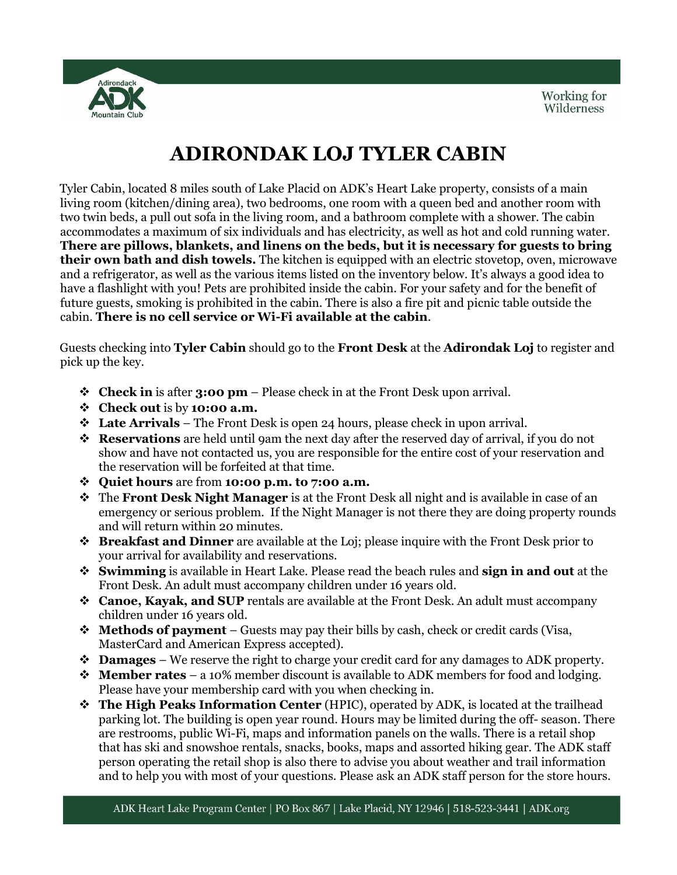

# **ADIRONDAK LOJ TYLER CABIN**

Tyler Cabin, located 8 miles south of Lake Placid on ADK's Heart Lake property, consists of a main living room (kitchen/dining area), two bedrooms, one room with a queen bed and another room with two twin beds, a pull out sofa in the living room, and a bathroom complete with a shower. The cabin accommodates a maximum of six individuals and has electricity, as well as hot and cold running water. **There are pillows, blankets, and linens on the beds, but it is necessary for guests to bring their own bath and dish towels.** The kitchen is equipped with an electric stovetop, oven, microwave and a refrigerator, as well as the various items listed on the inventory below. It's always a good idea to have a flashlight with you! Pets are prohibited inside the cabin. For your safety and for the benefit of future guests, smoking is prohibited in the cabin. There is also a fire pit and picnic table outside the cabin. **There is no cell service or Wi-Fi available at the cabin**.

Guests checking into **Tyler Cabin** should go to the **Front Desk** at the **Adirondak Loj** to register and pick up the key.

- **Check in** is after **3:00 pm** Please check in at the Front Desk upon arrival.
- **Check out** is by **10:00 a.m.**
- **Late Arrivals** The Front Desk is open 24 hours, please check in upon arrival.
- **Reservations** are held until 9am the next day after the reserved day of arrival, if you do not show and have not contacted us, you are responsible for the entire cost of your reservation and the reservation will be forfeited at that time.
- **Quiet hours** are from **10:00 p.m. to 7:00 a.m.**
- The **Front Desk Night Manager** is at the Front Desk all night and is available in case of an emergency or serious problem. If the Night Manager is not there they are doing property rounds and will return within 20 minutes.
- **Breakfast and Dinner** are available at the Loj; please inquire with the Front Desk prior to your arrival for availability and reservations.
- **Swimming** is available in Heart Lake. Please read the beach rules and **sign in and out** at the Front Desk. An adult must accompany children under 16 years old.
- **Canoe, Kayak, and SUP** rentals are available at the Front Desk. An adult must accompany children under 16 years old.
- **Methods of payment** Guests may pay their bills by cash, check or credit cards (Visa, MasterCard and American Express accepted).
- **Damages** We reserve the right to charge your credit card for any damages to ADK property.
- **Member rates** a 10% member discount is available to ADK members for food and lodging. Please have your membership card with you when checking in.
- **The High Peaks Information Center** (HPIC), operated by ADK, is located at the trailhead parking lot. The building is open year round. Hours may be limited during the off- season. There are restrooms, public Wi-Fi, maps and information panels on the walls. There is a retail shop that has ski and snowshoe rentals, snacks, books, maps and assorted hiking gear. The ADK staff person operating the retail shop is also there to advise you about weather and trail information and to help you with most of your questions. Please ask an ADK staff person for the store hours.